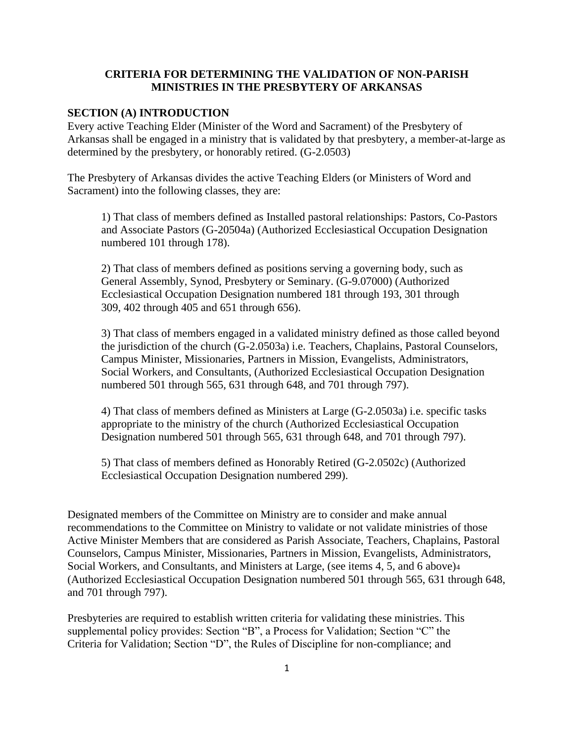### **CRITERIA FOR DETERMINING THE VALIDATION OF NON-PARISH MINISTRIES IN THE PRESBYTERY OF ARKANSAS**

#### **SECTION (A) INTRODUCTION**

Every active Teaching Elder (Minister of the Word and Sacrament) of the Presbytery of Arkansas shall be engaged in a ministry that is validated by that presbytery, a member-at-large as determined by the presbytery, or honorably retired. (G-2.0503)

The Presbytery of Arkansas divides the active Teaching Elders (or Ministers of Word and Sacrament) into the following classes, they are:

1) That class of members defined as Installed pastoral relationships: Pastors, Co-Pastors and Associate Pastors (G-20504a) (Authorized Ecclesiastical Occupation Designation numbered 101 through 178).

2) That class of members defined as positions serving a governing body, such as General Assembly, Synod, Presbytery or Seminary. (G-9.07000) (Authorized Ecclesiastical Occupation Designation numbered 181 through 193, 301 through 309, 402 through 405 and 651 through 656).

3) That class of members engaged in a validated ministry defined as those called beyond the jurisdiction of the church (G-2.0503a) i.e. Teachers, Chaplains, Pastoral Counselors, Campus Minister, Missionaries, Partners in Mission, Evangelists, Administrators, Social Workers, and Consultants, (Authorized Ecclesiastical Occupation Designation numbered 501 through 565, 631 through 648, and 701 through 797).

4) That class of members defined as Ministers at Large (G-2.0503a) i.e. specific tasks appropriate to the ministry of the church (Authorized Ecclesiastical Occupation Designation numbered 501 through 565, 631 through 648, and 701 through 797).

5) That class of members defined as Honorably Retired (G-2.0502c) (Authorized Ecclesiastical Occupation Designation numbered 299).

Designated members of the Committee on Ministry are to consider and make annual recommendations to the Committee on Ministry to validate or not validate ministries of those Active Minister Members that are considered as Parish Associate, Teachers, Chaplains, Pastoral Counselors, Campus Minister, Missionaries, Partners in Mission, Evangelists, Administrators, Social Workers, and Consultants, and Ministers at Large, (see items 4, 5, and 6 above)<sup>4</sup> (Authorized Ecclesiastical Occupation Designation numbered 501 through 565, 631 through 648, and 701 through 797).

Presbyteries are required to establish written criteria for validating these ministries. This supplemental policy provides: Section "B", a Process for Validation; Section "C" the Criteria for Validation; Section "D", the Rules of Discipline for non-compliance; and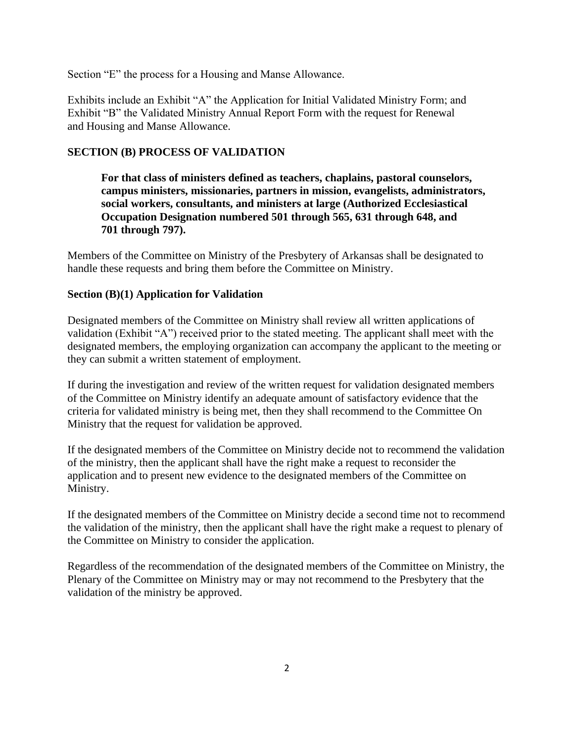Section "E" the process for a Housing and Manse Allowance.

Exhibits include an Exhibit "A" the Application for Initial Validated Ministry Form; and Exhibit "B" the Validated Ministry Annual Report Form with the request for Renewal and Housing and Manse Allowance.

## **SECTION (B) PROCESS OF VALIDATION**

**For that class of ministers defined as teachers, chaplains, pastoral counselors, campus ministers, missionaries, partners in mission, evangelists, administrators, social workers, consultants, and ministers at large (Authorized Ecclesiastical Occupation Designation numbered 501 through 565, 631 through 648, and 701 through 797).**

Members of the Committee on Ministry of the Presbytery of Arkansas shall be designated to handle these requests and bring them before the Committee on Ministry.

### **Section (B)(1) Application for Validation**

Designated members of the Committee on Ministry shall review all written applications of validation (Exhibit "A") received prior to the stated meeting. The applicant shall meet with the designated members, the employing organization can accompany the applicant to the meeting or they can submit a written statement of employment.

If during the investigation and review of the written request for validation designated members of the Committee on Ministry identify an adequate amount of satisfactory evidence that the criteria for validated ministry is being met, then they shall recommend to the Committee On Ministry that the request for validation be approved.

If the designated members of the Committee on Ministry decide not to recommend the validation of the ministry, then the applicant shall have the right make a request to reconsider the application and to present new evidence to the designated members of the Committee on Ministry.

If the designated members of the Committee on Ministry decide a second time not to recommend the validation of the ministry, then the applicant shall have the right make a request to plenary of the Committee on Ministry to consider the application.

Regardless of the recommendation of the designated members of the Committee on Ministry, the Plenary of the Committee on Ministry may or may not recommend to the Presbytery that the validation of the ministry be approved.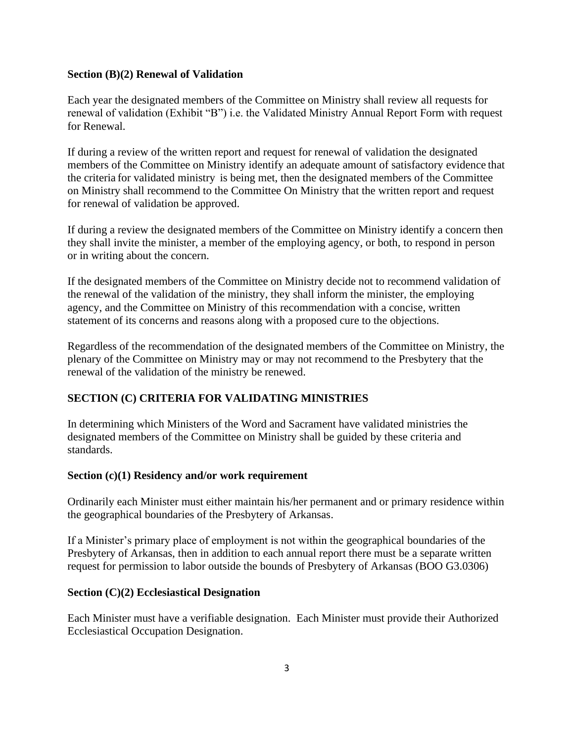#### **Section (B)(2) Renewal of Validation**

Each year the designated members of the Committee on Ministry shall review all requests for renewal of validation (Exhibit "B") i.e. the Validated Ministry Annual Report Form with request for Renewal.

If during a review of the written report and request for renewal of validation the designated members of the Committee on Ministry identify an adequate amount of satisfactory evidence that the criteria for validated ministry is being met, then the designated members of the Committee on Ministry shall recommend to the Committee On Ministry that the written report and request for renewal of validation be approved.

If during a review the designated members of the Committee on Ministry identify a concern then they shall invite the minister, a member of the employing agency, or both, to respond in person or in writing about the concern.

If the designated members of the Committee on Ministry decide not to recommend validation of the renewal of the validation of the ministry, they shall inform the minister, the employing agency, and the Committee on Ministry of this recommendation with a concise, written statement of its concerns and reasons along with a proposed cure to the objections.

Regardless of the recommendation of the designated members of the Committee on Ministry, the plenary of the Committee on Ministry may or may not recommend to the Presbytery that the renewal of the validation of the ministry be renewed.

## **SECTION (C) CRITERIA FOR VALIDATING MINISTRIES**

In determining which Ministers of the Word and Sacrament have validated ministries the designated members of the Committee on Ministry shall be guided by these criteria and standards.

### **Section (c)(1) Residency and/or work requirement**

Ordinarily each Minister must either maintain his/her permanent and or primary residence within the geographical boundaries of the Presbytery of Arkansas.

If a Minister's primary place of employment is not within the geographical boundaries of the Presbytery of Arkansas, then in addition to each annual report there must be a separate written request for permission to labor outside the bounds of Presbytery of Arkansas (BOO G3.0306)

### **Section (C)(2) Ecclesiastical Designation**

Each Minister must have a verifiable designation. Each Minister must provide their Authorized Ecclesiastical Occupation Designation.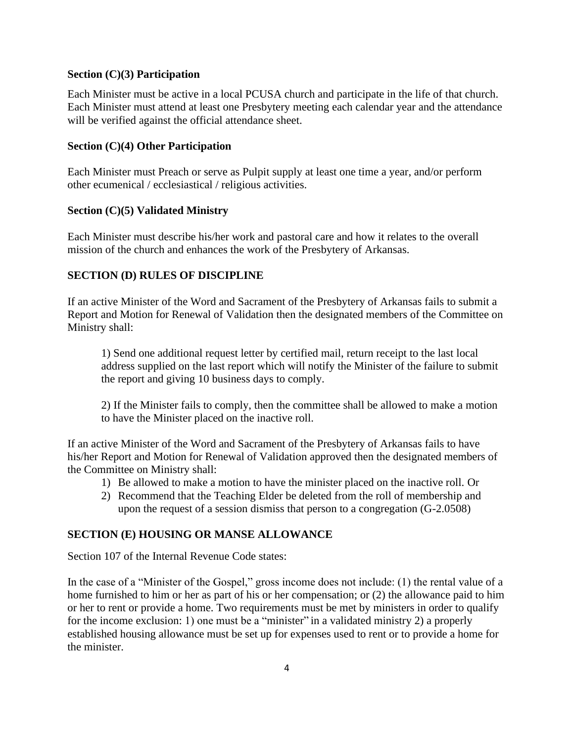### **Section (C)(3) Participation**

Each Minister must be active in a local PCUSA church and participate in the life of that church. Each Minister must attend at least one Presbytery meeting each calendar year and the attendance will be verified against the official attendance sheet.

### **Section (C)(4) Other Participation**

Each Minister must Preach or serve as Pulpit supply at least one time a year, and/or perform other ecumenical / ecclesiastical / religious activities.

### **Section (C)(5) Validated Ministry**

Each Minister must describe his/her work and pastoral care and how it relates to the overall mission of the church and enhances the work of the Presbytery of Arkansas.

## **SECTION (D) RULES OF DISCIPLINE**

If an active Minister of the Word and Sacrament of the Presbytery of Arkansas fails to submit a Report and Motion for Renewal of Validation then the designated members of the Committee on Ministry shall:

1) Send one additional request letter by certified mail, return receipt to the last local address supplied on the last report which will notify the Minister of the failure to submit the report and giving 10 business days to comply.

2) If the Minister fails to comply, then the committee shall be allowed to make a motion to have the Minister placed on the inactive roll.

If an active Minister of the Word and Sacrament of the Presbytery of Arkansas fails to have his/her Report and Motion for Renewal of Validation approved then the designated members of the Committee on Ministry shall:

- 1) Be allowed to make a motion to have the minister placed on the inactive roll. Or
- 2) Recommend that the Teaching Elder be deleted from the roll of membership and upon the request of a session dismiss that person to a congregation (G-2.0508)

### **SECTION (E) HOUSING OR MANSE ALLOWANCE**

Section 107 of the Internal Revenue Code states:

In the case of a "Minister of the Gospel," gross income does not include: (1) the rental value of a home furnished to him or her as part of his or her compensation; or (2) the allowance paid to him or her to rent or provide a home. Two requirements must be met by ministers in order to qualify for the income exclusion: 1) one must be a "minister" in a validated ministry 2) a properly established housing allowance must be set up for expenses used to rent or to provide a home for the minister.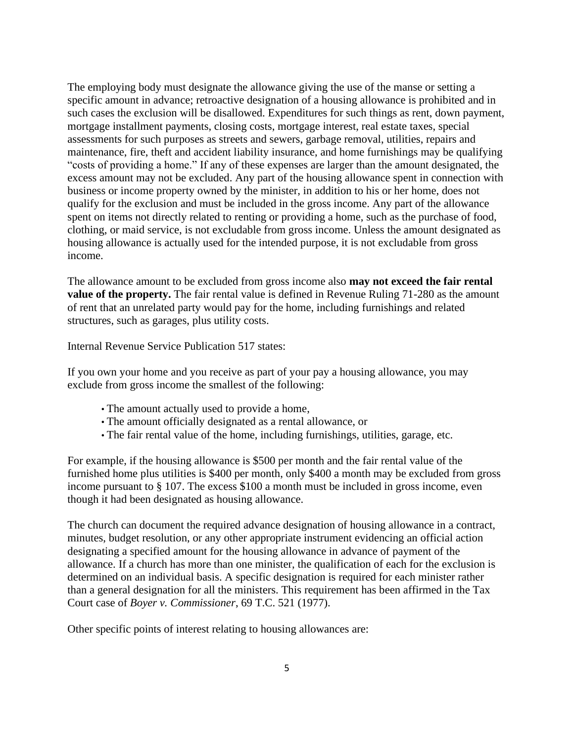The employing body must designate the allowance giving the use of the manse or setting a specific amount in advance; retroactive designation of a housing allowance is prohibited and in such cases the exclusion will be disallowed. Expenditures for such things as rent, down payment, mortgage installment payments, closing costs, mortgage interest, real estate taxes, special assessments for such purposes as streets and sewers, garbage removal, utilities, repairs and maintenance, fire, theft and accident liability insurance, and home furnishings may be qualifying "costs of providing a home." If any of these expenses are larger than the amount designated, the excess amount may not be excluded. Any part of the housing allowance spent in connection with business or income property owned by the minister, in addition to his or her home, does not qualify for the exclusion and must be included in the gross income. Any part of the allowance spent on items not directly related to renting or providing a home, such as the purchase of food, clothing, or maid service, is not excludable from gross income. Unless the amount designated as housing allowance is actually used for the intended purpose, it is not excludable from gross income.

The allowance amount to be excluded from gross income also **may not exceed the fair rental value of the property.** The fair rental value is defined in Revenue Ruling 71-280 as the amount of rent that an unrelated party would pay for the home, including furnishings and related structures, such as garages, plus utility costs.

Internal Revenue Service Publication 517 states:

If you own your home and you receive as part of your pay a housing allowance, you may exclude from gross income the smallest of the following:

- The amount actually used to provide a home,
- The amount officially designated as a rental allowance, or
- The fair rental value of the home, including furnishings, utilities, garage, etc.

For example, if the housing allowance is \$500 per month and the fair rental value of the furnished home plus utilities is \$400 per month, only \$400 a month may be excluded from gross income pursuant to § 107. The excess \$100 a month must be included in gross income, even though it had been designated as housing allowance.

The church can document the required advance designation of housing allowance in a contract, minutes, budget resolution, or any other appropriate instrument evidencing an official action designating a specified amount for the housing allowance in advance of payment of the allowance. If a church has more than one minister, the qualification of each for the exclusion is determined on an individual basis. A specific designation is required for each minister rather than a general designation for all the ministers. This requirement has been affirmed in the Tax Court case of *Boyer v. Commissioner*, 69 T.C. 521 (1977).

Other specific points of interest relating to housing allowances are: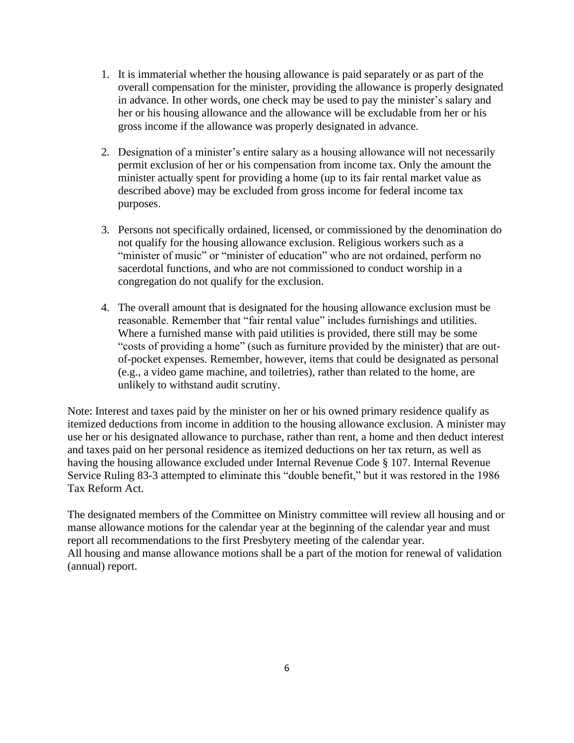- 1. It is immaterial whether the housing allowance is paid separately or as part of the overall compensation for the minister, providing the allowance is properly designated in advance. In other words, one check may be used to pay the minister's salary and her or his housing allowance and the allowance will be excludable from her or his gross income if the allowance was properly designated in advance.
- 2. Designation of a minister's entire salary as a housing allowance will not necessarily permit exclusion of her or his compensation from income tax. Only the amount the minister actually spent for providing a home (up to its fair rental market value as described above) may be excluded from gross income for federal income tax purposes.
- 3. Persons not specifically ordained, licensed, or commissioned by the denomination do not qualify for the housing allowance exclusion. Religious workers such as a "minister of music" or "minister of education" who are not ordained, perform no sacerdotal functions, and who are not commissioned to conduct worship in a congregation do not qualify for the exclusion.
- 4. The overall amount that is designated for the housing allowance exclusion must be reasonable. Remember that "fair rental value" includes furnishings and utilities. Where a furnished manse with paid utilities is provided, there still may be some "costs of providing a home" (such as furniture provided by the minister) that are outof-pocket expenses. Remember, however, items that could be designated as personal (e.g., a video game machine, and toiletries), rather than related to the home, are unlikely to withstand audit scrutiny.

Note: Interest and taxes paid by the minister on her or his owned primary residence qualify as itemized deductions from income in addition to the housing allowance exclusion. A minister may use her or his designated allowance to purchase, rather than rent, a home and then deduct interest and taxes paid on her personal residence as itemized deductions on her tax return, as well as having the housing allowance excluded under Internal Revenue Code § 107. Internal Revenue Service Ruling 83-3 attempted to eliminate this "double benefit," but it was restored in the 1986 Tax Reform Act.

The designated members of the Committee on Ministry committee will review all housing and or manse allowance motions for the calendar year at the beginning of the calendar year and must report all recommendations to the first Presbytery meeting of the calendar year. All housing and manse allowance motions shall be a part of the motion for renewal of validation (annual) report.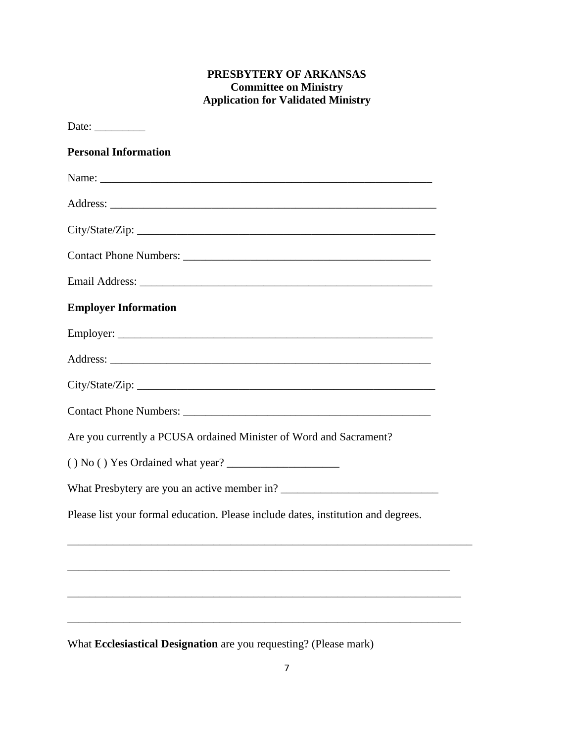# **PRESBYTERY OF ARKANSAS Committee on Ministry Application for Validated Ministry**

| Date: $\_\_$                                                                      |  |
|-----------------------------------------------------------------------------------|--|
| <b>Personal Information</b>                                                       |  |
|                                                                                   |  |
|                                                                                   |  |
|                                                                                   |  |
|                                                                                   |  |
|                                                                                   |  |
| <b>Employer Information</b>                                                       |  |
|                                                                                   |  |
|                                                                                   |  |
| City/State/Zip:                                                                   |  |
|                                                                                   |  |
| Are you currently a PCUSA ordained Minister of Word and Sacrament?                |  |
|                                                                                   |  |
|                                                                                   |  |
| Please list your formal education. Please include dates, institution and degrees. |  |
|                                                                                   |  |
|                                                                                   |  |
|                                                                                   |  |
|                                                                                   |  |
| What Ecclesiastical Designation are you requesting? (Please mark)                 |  |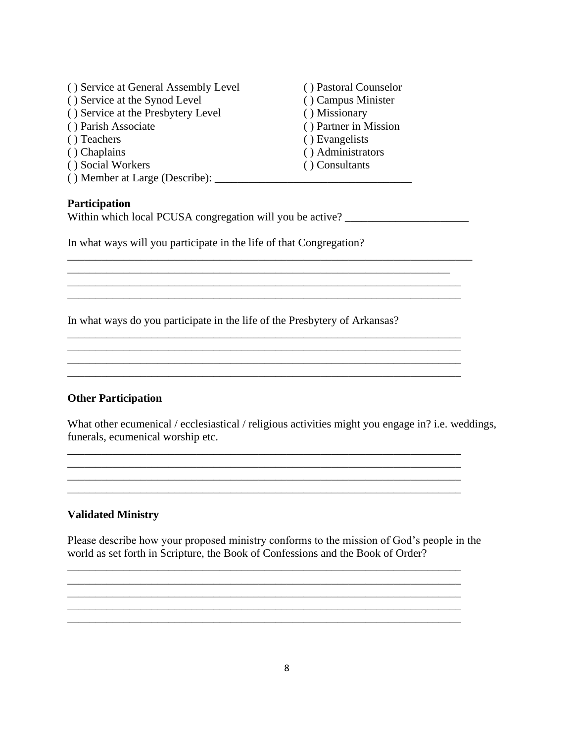| () Service at General Assembly Level | () Pastoral Counselor |
|--------------------------------------|-----------------------|
| () Service at the Synod Level        | () Campus Minister    |
| () Service at the Presbytery Level   | () Missionary         |
| () Parish Associate                  | () Partner in Mission |
| () Teachers                          | () Evangelists        |
| () Chaplains                         | () Administrators     |
| () Social Workers                    | () Consultants        |
| () Member at Large (Describe):       |                       |

#### **Participation**

Within which local PCUSA congregation will you be active?

In what ways will you participate in the life of that Congregation?

In what ways do you participate in the life of the Presbytery of Arkansas?

#### **Other Participation**

What other ecumenical / ecclesiastical / religious activities might you engage in? i.e. weddings, funerals, ecumenical worship etc.

 $\mathcal{L}_\mathcal{L} = \{ \mathcal{L}_1, \mathcal{L}_2, \ldots, \mathcal{L}_N, \mathcal{L}_N, \mathcal{L}_N, \mathcal{L}_N, \mathcal{L}_N, \mathcal{L}_N, \mathcal{L}_N, \mathcal{L}_N, \mathcal{L}_N, \mathcal{L}_N, \mathcal{L}_N, \mathcal{L}_N, \mathcal{L}_N, \mathcal{L}_N, \mathcal{L}_N, \mathcal{L}_N, \mathcal{L}_N, \mathcal{L}_N, \mathcal{L}_N, \mathcal{L}_N, \mathcal{L}_N, \mathcal{L}_N, \mathcal{L}_N, \$ 

\_\_\_\_\_\_\_\_\_\_\_\_\_\_\_\_\_\_\_\_\_\_\_\_\_\_\_\_\_\_\_\_\_\_\_\_\_\_\_\_\_\_\_\_\_\_\_\_\_\_\_\_\_\_\_\_\_\_\_\_\_\_\_\_\_\_\_\_\_\_

 $\overline{\phantom{a}}$  ,  $\overline{\phantom{a}}$  ,  $\overline{\phantom{a}}$  ,  $\overline{\phantom{a}}$  ,  $\overline{\phantom{a}}$  ,  $\overline{\phantom{a}}$  ,  $\overline{\phantom{a}}$  ,  $\overline{\phantom{a}}$  ,  $\overline{\phantom{a}}$  ,  $\overline{\phantom{a}}$  ,  $\overline{\phantom{a}}$  ,  $\overline{\phantom{a}}$  ,  $\overline{\phantom{a}}$  ,  $\overline{\phantom{a}}$  ,  $\overline{\phantom{a}}$  ,  $\overline{\phantom{a}}$ 

\_\_\_\_\_\_\_\_\_\_\_\_\_\_\_\_\_\_\_\_\_\_\_\_\_\_\_\_\_\_\_\_\_\_\_\_\_\_\_\_\_\_\_\_\_\_\_\_\_\_\_\_\_\_\_\_\_\_\_\_\_\_\_\_\_\_\_\_

\_\_\_\_\_\_\_\_\_\_\_\_\_\_\_\_\_\_\_\_\_\_\_\_\_\_\_\_\_\_\_\_\_\_\_\_\_\_\_\_\_\_\_\_\_\_\_\_\_\_\_\_\_\_\_\_\_\_\_\_\_\_\_\_\_\_\_\_\_\_

\_\_\_\_\_\_\_\_\_\_\_\_\_\_\_\_\_\_\_\_\_\_\_\_\_\_\_\_\_\_\_\_\_\_\_\_\_\_\_\_\_\_\_\_\_\_\_\_\_\_\_\_\_\_\_\_\_\_\_\_\_\_\_\_\_\_\_\_\_\_

\_\_\_\_\_\_\_\_\_\_\_\_\_\_\_\_\_\_\_\_\_\_\_\_\_\_\_\_\_\_\_\_\_\_\_\_\_\_\_\_\_\_\_\_\_\_\_\_\_\_\_\_\_\_\_\_\_\_\_\_\_\_\_\_\_\_\_\_\_\_ \_\_\_\_\_\_\_\_\_\_\_\_\_\_\_\_\_\_\_\_\_\_\_\_\_\_\_\_\_\_\_\_\_\_\_\_\_\_\_\_\_\_\_\_\_\_\_\_\_\_\_\_\_\_\_\_\_\_\_\_\_\_\_\_\_\_\_\_\_\_

\_\_\_\_\_\_\_\_\_\_\_\_\_\_\_\_\_\_\_\_\_\_\_\_\_\_\_\_\_\_\_\_\_\_\_\_\_\_\_\_\_\_\_\_\_\_\_\_\_\_\_\_\_\_\_\_\_\_\_\_\_\_\_\_\_\_\_\_\_\_

\_\_\_\_\_\_\_\_\_\_\_\_\_\_\_\_\_\_\_\_\_\_\_\_\_\_\_\_\_\_\_\_\_\_\_\_\_\_\_\_\_\_\_\_\_\_\_\_\_\_\_\_\_\_\_\_\_\_\_\_\_\_\_\_\_\_\_\_\_\_

#### **Validated Ministry**

Please describe how your proposed ministry conforms to the mission of God's people in the world as set forth in Scripture, the Book of Confessions and the Book of Order?

\_\_\_\_\_\_\_\_\_\_\_\_\_\_\_\_\_\_\_\_\_\_\_\_\_\_\_\_\_\_\_\_\_\_\_\_\_\_\_\_\_\_\_\_\_\_\_\_\_\_\_\_\_\_\_\_\_\_\_\_\_\_\_\_\_\_\_\_\_\_ \_\_\_\_\_\_\_\_\_\_\_\_\_\_\_\_\_\_\_\_\_\_\_\_\_\_\_\_\_\_\_\_\_\_\_\_\_\_\_\_\_\_\_\_\_\_\_\_\_\_\_\_\_\_\_\_\_\_\_\_\_\_\_\_\_\_\_\_\_\_ \_\_\_\_\_\_\_\_\_\_\_\_\_\_\_\_\_\_\_\_\_\_\_\_\_\_\_\_\_\_\_\_\_\_\_\_\_\_\_\_\_\_\_\_\_\_\_\_\_\_\_\_\_\_\_\_\_\_\_\_\_\_\_\_\_\_\_\_\_\_ \_\_\_\_\_\_\_\_\_\_\_\_\_\_\_\_\_\_\_\_\_\_\_\_\_\_\_\_\_\_\_\_\_\_\_\_\_\_\_\_\_\_\_\_\_\_\_\_\_\_\_\_\_\_\_\_\_\_\_\_\_\_\_\_\_\_\_\_\_\_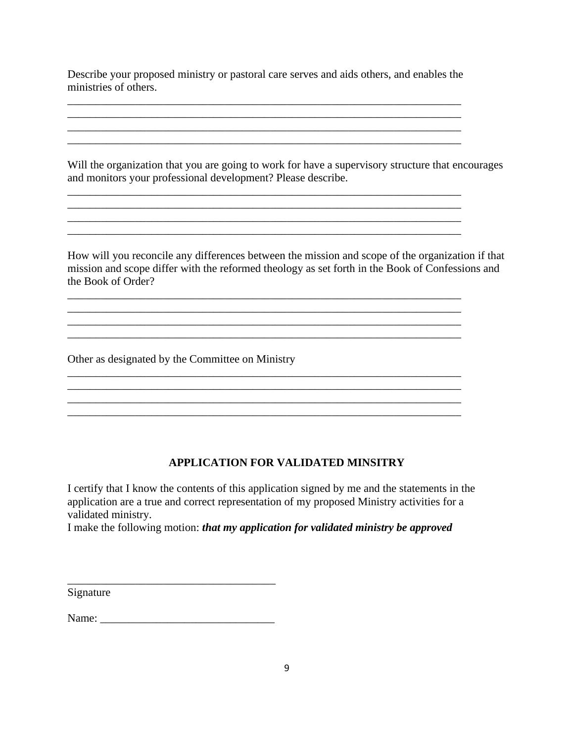Describe your proposed ministry or pastoral care serves and aids others, and enables the ministries of others.

\_\_\_\_\_\_\_\_\_\_\_\_\_\_\_\_\_\_\_\_\_\_\_\_\_\_\_\_\_\_\_\_\_\_\_\_\_\_\_\_\_\_\_\_\_\_\_\_\_\_\_\_\_\_\_\_\_\_\_\_\_\_\_\_\_\_\_\_\_\_

\_\_\_\_\_\_\_\_\_\_\_\_\_\_\_\_\_\_\_\_\_\_\_\_\_\_\_\_\_\_\_\_\_\_\_\_\_\_\_\_\_\_\_\_\_\_\_\_\_\_\_\_\_\_\_\_\_\_\_\_\_\_\_\_\_\_\_\_\_\_  $\ldots$  . The contribution of the contribution of the contribution of the contribution of the contribution of the contribution of the contribution of the contribution of the contribution of the contribution of the contribut  $\mathcal{L}_\mathcal{L} = \mathcal{L}_\mathcal{L} = \mathcal{L}_\mathcal{L} = \mathcal{L}_\mathcal{L} = \mathcal{L}_\mathcal{L} = \mathcal{L}_\mathcal{L} = \mathcal{L}_\mathcal{L} = \mathcal{L}_\mathcal{L} = \mathcal{L}_\mathcal{L} = \mathcal{L}_\mathcal{L} = \mathcal{L}_\mathcal{L} = \mathcal{L}_\mathcal{L} = \mathcal{L}_\mathcal{L} = \mathcal{L}_\mathcal{L} = \mathcal{L}_\mathcal{L} = \mathcal{L}_\mathcal{L} = \mathcal{L}_\mathcal{L}$  $\overline{\phantom{a}}$  , and the contribution of the contribution of the contribution of the contribution of the contribution of the contribution of the contribution of the contribution of the contribution of the contribution of the

\_\_\_\_\_\_\_\_\_\_\_\_\_\_\_\_\_\_\_\_\_\_\_\_\_\_\_\_\_\_\_\_\_\_\_\_\_\_\_\_\_\_\_\_\_\_\_\_\_\_\_\_\_\_\_\_\_\_\_\_\_\_\_\_\_\_\_\_\_\_

\_\_\_\_\_\_\_\_\_\_\_\_\_\_\_\_\_\_\_\_\_\_\_\_\_\_\_\_\_\_\_\_\_\_\_\_\_\_\_\_\_\_\_\_\_\_\_\_\_\_\_\_\_\_\_\_\_\_\_\_\_\_\_\_\_\_\_\_\_\_

\_\_\_\_\_\_\_\_\_\_\_\_\_\_\_\_\_\_\_\_\_\_\_\_\_\_\_\_\_\_\_\_\_\_\_\_\_\_\_\_\_\_\_\_\_\_\_\_\_\_\_\_\_\_\_\_\_\_\_\_\_\_\_\_\_\_\_\_\_\_

Will the organization that you are going to work for have a supervisory structure that encourages and monitors your professional development? Please describe.

How will you reconcile any differences between the mission and scope of the organization if that mission and scope differ with the reformed theology as set forth in the Book of Confessions and the Book of Order?

 $\overline{\phantom{a}}$  , and the contribution of the contribution of the contribution of the contribution of the contribution of the contribution of the contribution of the contribution of the contribution of the contribution of the

Other as designated by the Committee on Ministry

## **APPLICATION FOR VALIDATED MINSITRY**

 $\mathcal{L}_\text{max} = \mathcal{L}_\text{max} = \mathcal{L}_\text{max} = \mathcal{L}_\text{max} = \mathcal{L}_\text{max} = \mathcal{L}_\text{max} = \mathcal{L}_\text{max} = \mathcal{L}_\text{max} = \mathcal{L}_\text{max} = \mathcal{L}_\text{max} = \mathcal{L}_\text{max} = \mathcal{L}_\text{max} = \mathcal{L}_\text{max} = \mathcal{L}_\text{max} = \mathcal{L}_\text{max} = \mathcal{L}_\text{max} = \mathcal{L}_\text{max} = \mathcal{L}_\text{max} = \mathcal{$ 

I certify that I know the contents of this application signed by me and the statements in the application are a true and correct representation of my proposed Ministry activities for a validated ministry.

I make the following motion: *that my application for validated ministry be approved*

Signature

Name:

\_\_\_\_\_\_\_\_\_\_\_\_\_\_\_\_\_\_\_\_\_\_\_\_\_\_\_\_\_\_\_\_\_\_\_\_\_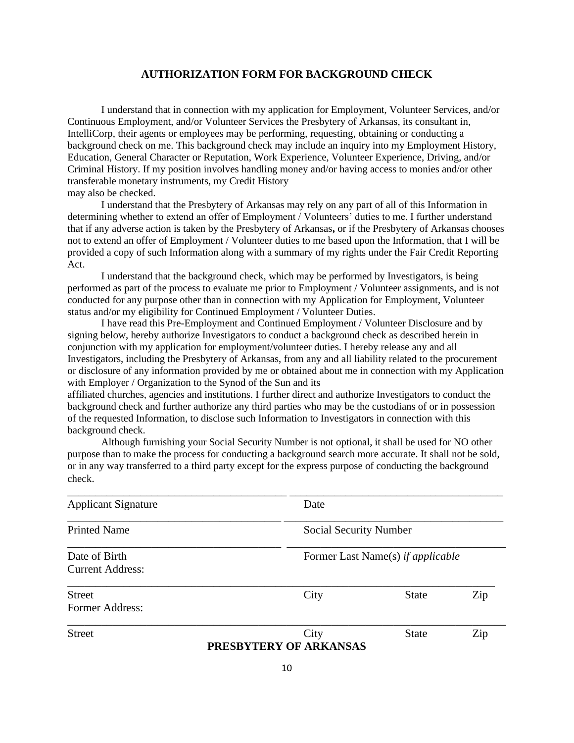#### **AUTHORIZATION FORM FOR BACKGROUND CHECK**

I understand that in connection with my application for Employment, Volunteer Services, and/or Continuous Employment, and/or Volunteer Services the Presbytery of Arkansas, its consultant in, IntelliCorp, their agents or employees may be performing, requesting, obtaining or conducting a background check on me. This background check may include an inquiry into my Employment History, Education, General Character or Reputation, Work Experience, Volunteer Experience, Driving, and/or Criminal History. If my position involves handling money and/or having access to monies and/or other transferable monetary instruments, my Credit History may also be checked.

I understand that the Presbytery of Arkansas may rely on any part of all of this Information in determining whether to extend an offer of Employment / Volunteers' duties to me. I further understand that if any adverse action is taken by the Presbytery of Arkansas**,** or if the Presbytery of Arkansas chooses not to extend an offer of Employment / Volunteer duties to me based upon the Information, that I will be provided a copy of such Information along with a summary of my rights under the Fair Credit Reporting Act.

I understand that the background check, which may be performed by Investigators, is being performed as part of the process to evaluate me prior to Employment / Volunteer assignments, and is not conducted for any purpose other than in connection with my Application for Employment, Volunteer status and/or my eligibility for Continued Employment / Volunteer Duties.

I have read this Pre-Employment and Continued Employment / Volunteer Disclosure and by signing below, hereby authorize Investigators to conduct a background check as described herein in conjunction with my application for employment/volunteer duties. I hereby release any and all Investigators, including the Presbytery of Arkansas, from any and all liability related to the procurement or disclosure of any information provided by me or obtained about me in connection with my Application with Employer / Organization to the Synod of the Sun and its

affiliated churches, agencies and institutions. I further direct and authorize Investigators to conduct the background check and further authorize any third parties who may be the custodians of or in possession of the requested Information, to disclose such Information to Investigators in connection with this background check.

Although furnishing your Social Security Number is not optional, it shall be used for NO other purpose than to make the process for conducting a background search more accurate. It shall not be sold, or in any way transferred to a third party except for the express purpose of conducting the background check.

| <b>Street</b>              | City<br>PRESBYTERY OF ARKANSAS | <b>State</b>                      | Zip |  |
|----------------------------|--------------------------------|-----------------------------------|-----|--|
|                            |                                |                                   |     |  |
| <b>Former Address:</b>     |                                |                                   |     |  |
| <b>Street</b>              | City                           | <b>State</b>                      | Zip |  |
|                            |                                |                                   |     |  |
| <b>Current Address:</b>    |                                |                                   |     |  |
|                            |                                |                                   |     |  |
| Date of Birth              |                                | Former Last Name(s) if applicable |     |  |
| <b>Printed Name</b>        |                                | Social Security Number            |     |  |
|                            |                                |                                   |     |  |
| <b>Applicant Signature</b> | Date                           |                                   |     |  |
|                            |                                |                                   |     |  |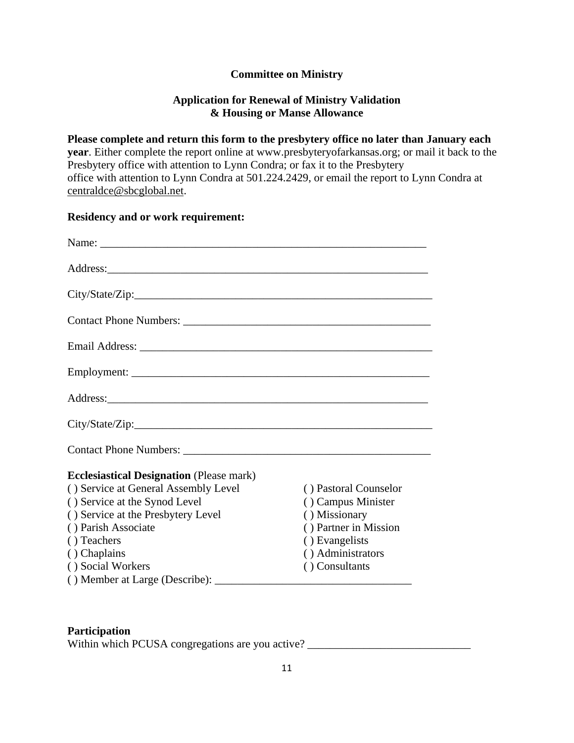### **Committee on Ministry**

### **Application for Renewal of Ministry Validation & Housing or Manse Allowance**

**Please complete and return this form to the presbytery office no later than January each year**. Either complete the report online at www.presbyteryofarkansas.org; or mail it back to the Presbytery office with attention to Lynn Condra; or fax it to the Presbytery office with attention to Lynn Condra at 501.224.2429, or email the report to Lynn Condra at [centraldce@sbcglobal.net.](mailto:centraldce@sbcglobal.net)

### **Residency and or work requirement:**

| City/State/Zip:                                 |                       |
|-------------------------------------------------|-----------------------|
|                                                 |                       |
| <b>Ecclesiastical Designation</b> (Please mark) |                       |
| () Service at General Assembly Level            | () Pastoral Counselor |
| () Service at the Synod Level                   | () Campus Minister    |
| () Service at the Presbytery Level              | () Missionary         |
| () Parish Associate                             | () Partner in Mission |
| () Teachers                                     | () Evangelists        |
| () Chaplains                                    | () Administrators     |
| () Social Workers                               | () Consultants        |
|                                                 |                       |

### **Participation**

Within which PCUSA congregations are you active? \_\_\_\_\_\_\_\_\_\_\_\_\_\_\_\_\_\_\_\_\_\_\_\_\_\_\_\_\_\_\_\_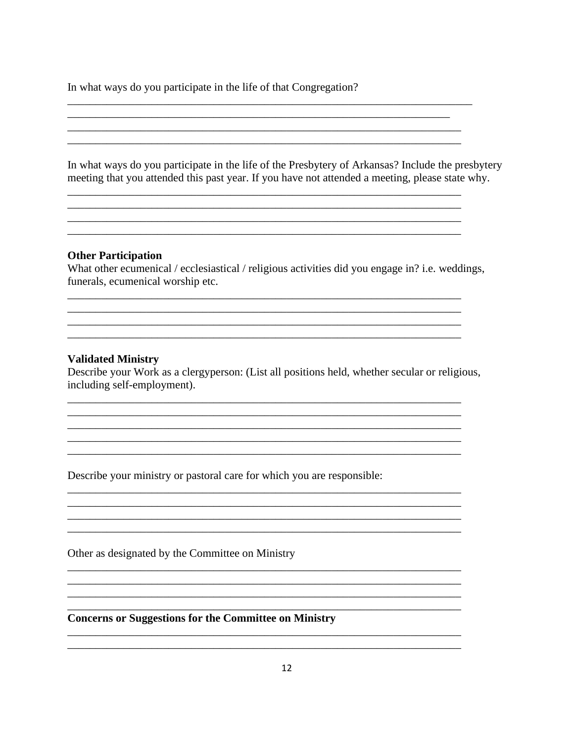In what ways do you participate in the life of that Congregation?

In what ways do you participate in the life of the Presbytery of Arkansas? Include the presbytery meeting that you attended this past year. If you have not attended a meeting, please state why.

<u> 1989 - Johann Harry Harry Harry Harry Harry Harry Harry Harry Harry Harry Harry Harry Harry Harry Harry Harry</u>

#### **Other Participation**

What other ecumenical / ecclesiastical / religious activities did you engage in? i.e. weddings, funerals, ecumenical worship etc.

<u> 1989 - Johann Stoff, deutscher Stoff, der Stoff, der Stoff, der Stoff, der Stoff, der Stoff, der Stoff, der S</u>

#### **Validated Ministry**

Describe your Work as a clergyperson: (List all positions held, whether secular or religious, including self-employment).

<u> 1980 - Johann Barn, amerikan basar basa dan basa dan basa dan basa dan basa dan basa dan basa dan basa da</u>

Describe your ministry or pastoral care for which you are responsible:

Other as designated by the Committee on Ministry

**Concerns or Suggestions for the Committee on Ministry**